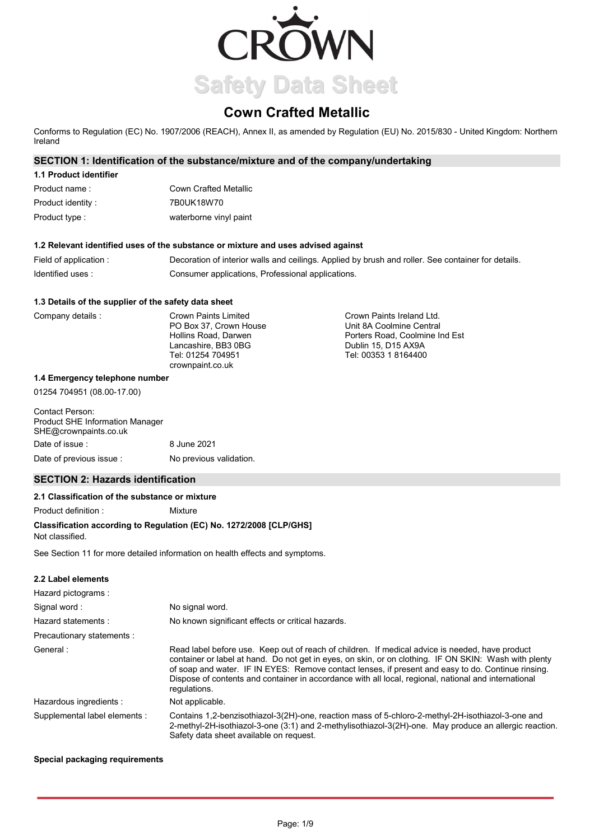

# **Cown Crafted Metallic**

Conforms to Regulation (EC) No. 1907/2006 (REACH), Annex II, as amended by Regulation (EU) No. 2015/830 - United Kingdom: Northern Ireland

# **SECTION 1: Identification of the substance/mixture and of the company/undertaking**

# **1.1 Product identifier**

| Product name :     | <b>Cown Crafted Metallic</b> |
|--------------------|------------------------------|
| Product identity : | 7B0UK18W70                   |
| Product type :     | waterborne vinyl paint       |

## **1.2 Relevant identified uses of the substance or mixture and uses advised against**

| Field of application : | Decoration of interior walls and ceilings. Applied by brush and roller. See container for details. |
|------------------------|----------------------------------------------------------------------------------------------------|
| Identified uses:       | Consumer applications, Professional applications.                                                  |

#### **1.3 Details of the supplier of the safety data sheet**

| Company details | Crown Paints Limited   | Crown Paints Ireland Ltd.      |
|-----------------|------------------------|--------------------------------|
|                 | PO Box 37. Crown House | Unit 8A Coolmine Central       |
|                 | Hollins Road, Darwen   | Porters Road, Coolmine Ind Est |
|                 | Lancashire, BB3 0BG    | Dublin 15, D15 AX9A            |
|                 | Tel: 01254 704951      | Tel: 00353 1 8164400           |
|                 | crownpaint.co.uk       |                                |

#### **1.4 Emergency telephone number**

01254 704951 (08.00-17.00)

| Contact Person:<br><b>Product SHE Information Manager</b><br>SHE@crownpaints.co.uk |                         |
|------------------------------------------------------------------------------------|-------------------------|
| Date of issue :                                                                    | 8 June 2021             |
| Date of previous issue:                                                            | No previous validation. |

# **SECTION 2: Hazards identification**

## **2.1 Classification of the substance or mixture**

Product definition : Mixture

# **Classification according to Regulation (EC) No. 1272/2008 [CLP/GHS]**

Not classified.

See Section 11 for more detailed information on health effects and symptoms.

# **2.2 Label elements**

| Hazard pictograms:            |                                                                                                                                                                                                                                                                                                                                                                                                                                        |
|-------------------------------|----------------------------------------------------------------------------------------------------------------------------------------------------------------------------------------------------------------------------------------------------------------------------------------------------------------------------------------------------------------------------------------------------------------------------------------|
| Signal word:                  | No signal word.                                                                                                                                                                                                                                                                                                                                                                                                                        |
| Hazard statements:            | No known significant effects or critical hazards.                                                                                                                                                                                                                                                                                                                                                                                      |
| Precautionary statements :    |                                                                                                                                                                                                                                                                                                                                                                                                                                        |
| General:                      | Read label before use. Keep out of reach of children. If medical advice is needed, have product<br>container or label at hand. Do not get in eyes, on skin, or on clothing. IF ON SKIN: Wash with plenty<br>of soap and water. IF IN EYES: Remove contact lenses, if present and easy to do. Continue rinsing.<br>Dispose of contents and container in accordance with all local, regional, national and international<br>requlations. |
| Hazardous ingredients :       | Not applicable.                                                                                                                                                                                                                                                                                                                                                                                                                        |
| Supplemental label elements : | Contains 1.2-benzisothiazol-3(2H)-one, reaction mass of 5-chloro-2-methyl-2H-isothiazol-3-one and<br>2-methyl-2H-isothiazol-3-one (3:1) and 2-methylisothiazol-3(2H)-one. May produce an allergic reaction.<br>Safety data sheet available on request.                                                                                                                                                                                 |

# **Special packaging requirements**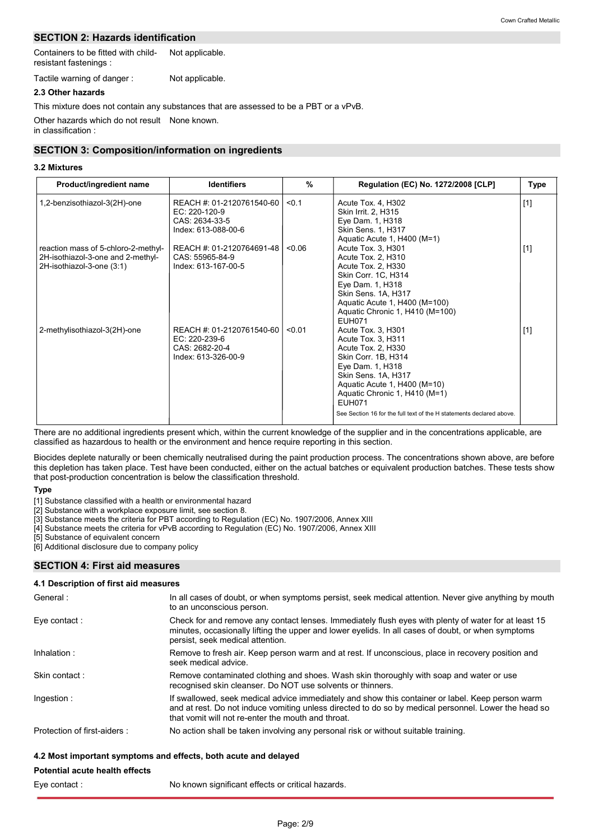# **SECTION 2: Hazards identification**

Containers to be fitted with childresistant fastenings : Not applicable.

Tactile warning of danger : Not applicable.

# **2.3 Other hazards**

Other hazards which do not result None known. in classification : This mixture does not contain any substances that are assessed to be a PBT or a vPvB.

# **SECTION 3: Composition/information on ingredients**

## **3.2 Mixtures**

| Product/ingredient name                                                                               | <b>Identifiers</b>                                                                  | $\frac{9}{6}$ | Regulation (EC) No. 1272/2008 [CLP]                                                                                                                                                                                                                                                        | <b>Type</b> |
|-------------------------------------------------------------------------------------------------------|-------------------------------------------------------------------------------------|---------------|--------------------------------------------------------------------------------------------------------------------------------------------------------------------------------------------------------------------------------------------------------------------------------------------|-------------|
| 1,2-benzisothiazol-3(2H)-one                                                                          | REACH #: 01-2120761540-60<br>EC: 220-120-9<br>CAS: 2634-33-5<br>Index: 613-088-00-6 | < 0.1         | Acute Tox. 4, H302<br>Skin Irrit. 2, H315<br>Eye Dam. 1, H318<br>Skin Sens. 1, H317<br>Aquatic Acute 1, H400 (M=1)                                                                                                                                                                         | $[1]$       |
| reaction mass of 5-chloro-2-methyl-<br>2H-isothiazol-3-one and 2-methyl-<br>2H-isothiazol-3-one (3:1) | REACH #: 01-2120764691-48<br>CAS: 55965-84-9<br>Index: 613-167-00-5                 | < 0.06        | Acute Tox. 3, H301<br>Acute Tox. 2, H310<br>Acute Tox. 2, H330<br>Skin Corr. 1C, H314<br>Eye Dam. 1, H318<br>Skin Sens. 1A, H317<br>Aquatic Acute 1, H400 (M=100)<br>Aquatic Chronic 1, H410 (M=100)<br><b>FUH071</b>                                                                      | $[1]$       |
| 2-methylisothiazol-3(2H)-one                                                                          | REACH #: 01-2120761540-60<br>EC: 220-239-6<br>CAS: 2682-20-4<br>Index: 613-326-00-9 | < 0.01        | Acute Tox. 3, H301<br>Acute Tox. 3, H311<br>Acute Tox. 2, H330<br>Skin Corr. 1B, H314<br>Eye Dam. 1, H318<br>Skin Sens. 1A, H317<br>Aquatic Acute 1, H400 (M=10)<br>Aquatic Chronic 1, H410 (M=1)<br><b>EUH071</b><br>See Section 16 for the full text of the H statements declared above. | $[1]$       |

There are no additional ingredients present which, within the current knowledge of the supplier and in the concentrations applicable, are classified as hazardous to health or the environment and hence require reporting in this section.

Biocides deplete naturally or been chemically neutralised during the paint production process. The concentrations shown above, are before this depletion has taken place. Test have been conducted, either on the actual batches or equivalent production batches. These tests show that post-production concentration is below the classification threshold.

#### **Type**

[1] Substance classified with a health or environmental hazard

[2] Substance with a workplace exposure limit, see section 8.

[3] Substance meets the criteria for PBT according to Regulation (EC) No. 1907/2006, Annex XIII

[4] Substance meets the criteria for vPvB according to Regulation (EC) No. 1907/2006, Annex XIII

[5] Substance of equivalent concern

[6] Additional disclosure due to company policy

# **SECTION 4: First aid measures**

# **4.1 Description of first aid measures**

| General:                    | In all cases of doubt, or when symptoms persist, seek medical attention. Never give anything by mouth<br>to an unconscious person.                                                                                                                            |
|-----------------------------|---------------------------------------------------------------------------------------------------------------------------------------------------------------------------------------------------------------------------------------------------------------|
| Eye contact:                | Check for and remove any contact lenses. Immediately flush eyes with plenty of water for at least 15<br>minutes, occasionally lifting the upper and lower eyelids. In all cases of doubt, or when symptoms<br>persist, seek medical attention.                |
| Inhalation:                 | Remove to fresh air. Keep person warm and at rest. If unconscious, place in recovery position and<br>seek medical advice.                                                                                                                                     |
| Skin contact:               | Remove contaminated clothing and shoes. Wash skin thoroughly with soap and water or use<br>recognised skin cleanser. Do NOT use solvents or thinners.                                                                                                         |
| Ingestion:                  | If swallowed, seek medical advice immediately and show this container or label. Keep person warm<br>and at rest. Do not induce vomiting unless directed to do so by medical personnel. Lower the head so<br>that yomit will not re-enter the mouth and throat |
| Protection of first-aiders: | No action shall be taken involving any personal risk or without suitable training.                                                                                                                                                                            |

# **4.2 Most important symptoms and effects, both acute and delayed**

# **Potential acute health effects** Eye contact :

No known significant effects or critical hazards.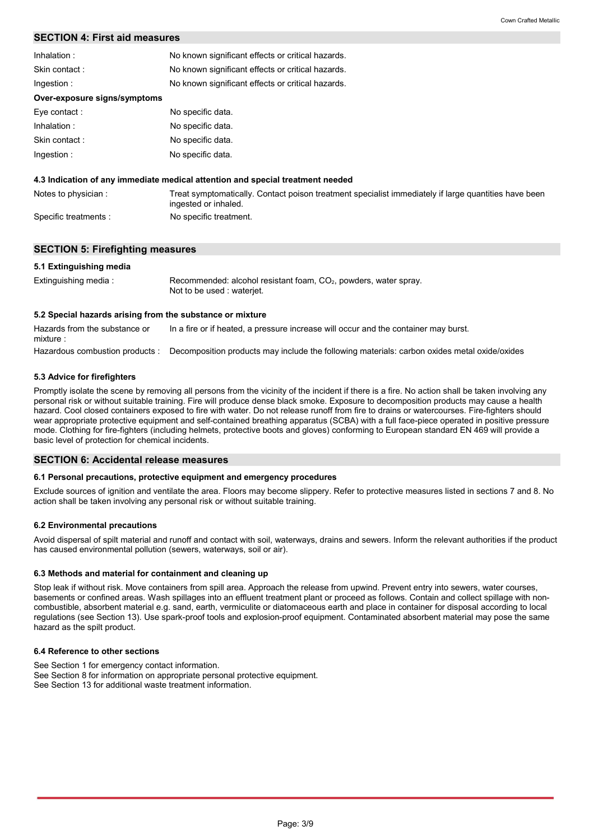# **SECTION 4: First aid measures**

| Inhalation:                  | No known significant effects or critical hazards.                                                                            |  |
|------------------------------|------------------------------------------------------------------------------------------------------------------------------|--|
| Skin contact:                | No known significant effects or critical hazards.                                                                            |  |
| Ingestion:                   | No known significant effects or critical hazards.                                                                            |  |
| Over-exposure signs/symptoms |                                                                                                                              |  |
| Eye contact:                 | No specific data.                                                                                                            |  |
| Inhalation:                  | No specific data.                                                                                                            |  |
| Skin contact:                | No specific data.                                                                                                            |  |
| Ingestion:                   | No specific data.                                                                                                            |  |
|                              | 4.3 Indication of any immediate medical attention and special treatment needed                                               |  |
| Notes to physician:          | Treat symptomatically. Contact poison treatment specialist immediately if large quantities have been<br>ingested or inhaled. |  |

Specific treatments : No specific treatment.

## **SECTION 5: Firefighting measures**

#### **5.1 Extinguishing media**

| Extinguishing media: | Recommended: alcohol resistant foam, CO <sub>2</sub> , powders, water spray. |
|----------------------|------------------------------------------------------------------------------|
|                      | Not to be used : waterjet.                                                   |

#### **5.2 Special hazards arising from the substance or mixture**

Hazardous combustion products : Decomposition products may include the following materials: carbon oxides metal oxide/oxides Hazards from the substance or mixture : In a fire or if heated, a pressure increase will occur and the container may burst.

#### **5.3 Advice for firefighters**

Promptly isolate the scene by removing all persons from the vicinity of the incident if there is a fire. No action shall be taken involving any personal risk or without suitable training. Fire will produce dense black smoke. Exposure to decomposition products may cause a health hazard. Cool closed containers exposed to fire with water. Do not release runoff from fire to drains or watercourses. Fire-fighters should wear appropriate protective equipment and self-contained breathing apparatus (SCBA) with a full face-piece operated in positive pressure mode. Clothing for fire-fighters (including helmets, protective boots and gloves) conforming to European standard EN 469 will provide a basic level of protection for chemical incidents.

#### **SECTION 6: Accidental release measures**

#### **6.1 Personal precautions, protective equipment and emergency procedures**

Exclude sources of ignition and ventilate the area. Floors may become slippery. Refer to protective measures listed in sections 7 and 8. No action shall be taken involving any personal risk or without suitable training.

#### **6.2 Environmental precautions**

Avoid dispersal of spilt material and runoff and contact with soil, waterways, drains and sewers. Inform the relevant authorities if the product has caused environmental pollution (sewers, waterways, soil or air).

#### **6.3 Methods and material for containment and cleaning up**

Stop leak if without risk. Move containers from spill area. Approach the release from upwind. Prevent entry into sewers, water courses, basements or confined areas. Wash spillages into an effluent treatment plant or proceed as follows. Contain and collect spillage with noncombustible, absorbent material e.g. sand, earth, vermiculite or diatomaceous earth and place in container for disposal according to local regulations (see Section 13). Use spark-proof tools and explosion-proof equipment. Contaminated absorbent material may pose the same hazard as the spilt product.

#### **6.4 Reference to other sections**

See Section 1 for emergency contact information.

See Section 8 for information on appropriate personal protective equipment.

See Section 13 for additional waste treatment information.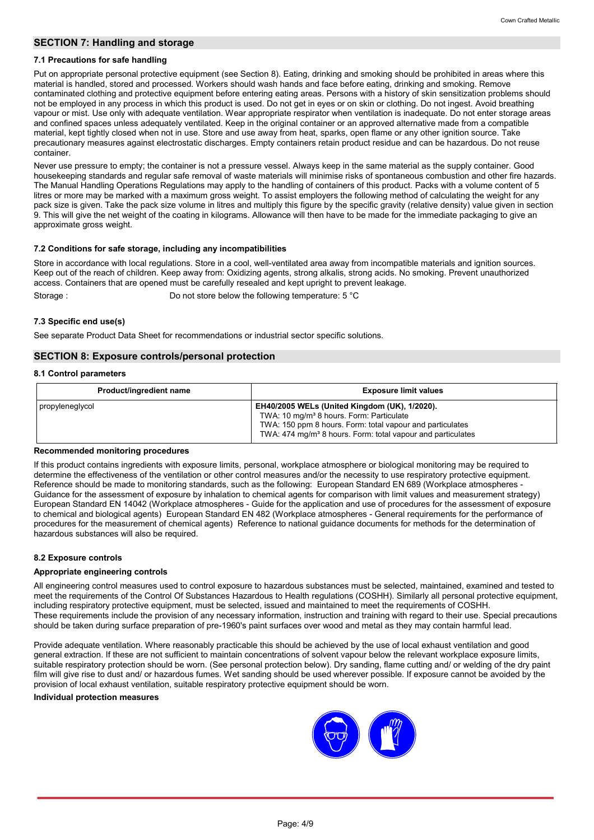# **SECTION 7: Handling and storage**

#### **7.1 Precautions for safe handling**

Put on appropriate personal protective equipment (see Section 8). Eating, drinking and smoking should be prohibited in areas where this material is handled, stored and processed. Workers should wash hands and face before eating, drinking and smoking. Remove contaminated clothing and protective equipment before entering eating areas. Persons with a history of skin sensitization problems should not be employed in any process in which this product is used. Do not get in eyes or on skin or clothing. Do not ingest. Avoid breathing vapour or mist. Use only with adequate ventilation. Wear appropriate respirator when ventilation is inadequate. Do not enter storage areas and confined spaces unless adequately ventilated. Keep in the original container or an approved alternative made from a compatible material, kept tightly closed when not in use. Store and use away from heat, sparks, open flame or any other ignition source. Take precautionary measures against electrostatic discharges. Empty containers retain product residue and can be hazardous. Do not reuse container.

Never use pressure to empty; the container is not a pressure vessel. Always keep in the same material as the supply container. Good housekeeping standards and regular safe removal of waste materials will minimise risks of spontaneous combustion and other fire hazards. The Manual Handling Operations Regulations may apply to the handling of containers of this product. Packs with a volume content of 5 litres or more may be marked with a maximum gross weight. To assist employers the following method of calculating the weight for any pack size is given. Take the pack size volume in litres and multiply this figure by the specific gravity (relative density) value given in section 9. This will give the net weight of the coating in kilograms. Allowance will then have to be made for the immediate packaging to give an approximate gross weight.

# **7.2 Conditions for safe storage, including any incompatibilities**

Store in accordance with local regulations. Store in a cool, well-ventilated area away from incompatible materials and ignition sources. Keep out of the reach of children. Keep away from: Oxidizing agents, strong alkalis, strong acids. No smoking. Prevent unauthorized access. Containers that are opened must be carefully resealed and kept upright to prevent leakage.

Storage : Do not store below the following temperature: 5 °C

## **7.3 Specific end use(s)**

See separate Product Data Sheet for recommendations or industrial sector specific solutions.

# **SECTION 8: Exposure controls/personal protection**

#### **8.1 Control parameters**

| Product/ingredient name | <b>Exposure limit values</b>                                                                                                                                                                                                                         |
|-------------------------|------------------------------------------------------------------------------------------------------------------------------------------------------------------------------------------------------------------------------------------------------|
| propyleneglycol         | <b>EH40/2005 WELs (United Kingdom (UK), 1/2020).</b><br>TWA: 10 mg/m <sup>3</sup> 8 hours. Form: Particulate<br>TWA: 150 ppm 8 hours. Form: total vapour and particulates<br>TWA: 474 mg/m <sup>3</sup> 8 hours. Form: total vapour and particulates |

#### **Recommended monitoring procedures**

If this product contains ingredients with exposure limits, personal, workplace atmosphere or biological monitoring may be required to determine the effectiveness of the ventilation or other control measures and/or the necessity to use respiratory protective equipment. Reference should be made to monitoring standards, such as the following: European Standard EN 689 (Workplace atmospheres - Guidance for the assessment of exposure by inhalation to chemical agents for comparison with limit values and measurement strategy) European Standard EN 14042 (Workplace atmospheres - Guide for the application and use of procedures for the assessment of exposure to chemical and biological agents) European Standard EN 482 (Workplace atmospheres - General requirements for the performance of procedures for the measurement of chemical agents) Reference to national guidance documents for methods for the determination of hazardous substances will also be required.

# **8.2 Exposure controls**

## **Appropriate engineering controls**

All engineering control measures used to control exposure to hazardous substances must be selected, maintained, examined and tested to meet the requirements of the Control Of Substances Hazardous to Health regulations (COSHH). Similarly all personal protective equipment, including respiratory protective equipment, must be selected, issued and maintained to meet the requirements of COSHH. These requirements include the provision of any necessary information, instruction and training with regard to their use. Special precautions should be taken during surface preparation of pre-1960's paint surfaces over wood and metal as they may contain harmful lead.

Provide adequate ventilation. Where reasonably practicable this should be achieved by the use of local exhaust ventilation and good general extraction. If these are not sufficient to maintain concentrations of solvent vapour below the relevant workplace exposure limits, suitable respiratory protection should be worn. (See personal protection below). Dry sanding, flame cutting and/ or welding of the dry paint film will give rise to dust and/ or hazardous fumes. Wet sanding should be used wherever possible. If exposure cannot be avoided by the provision of local exhaust ventilation, suitable respiratory protective equipment should be worn.

#### **Individual protection measures**

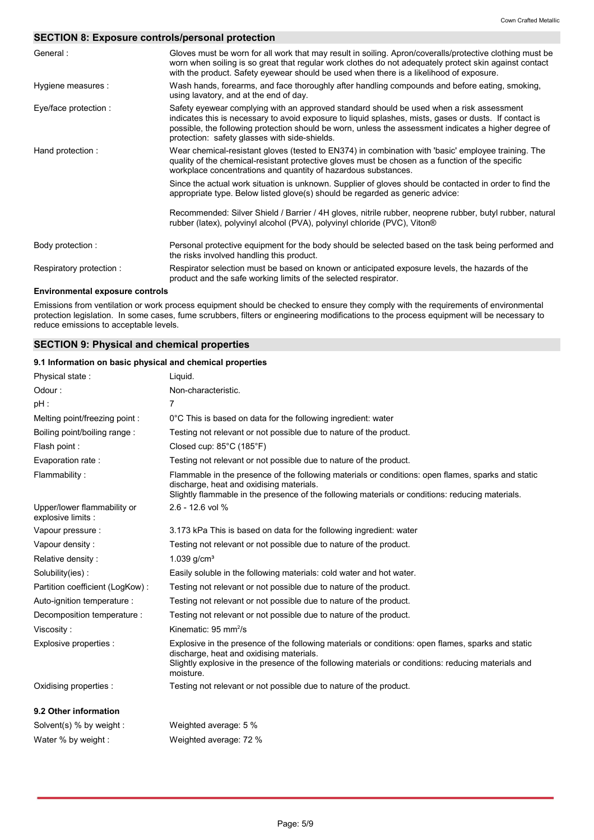# **SECTION 8: Exposure controls/personal protection**

| General:                               | Gloves must be worn for all work that may result in soiling. Apron/coveralls/protective clothing must be<br>worn when soiling is so great that regular work clothes do not adequately protect skin against contact<br>with the product. Safety eyewear should be used when there is a likelihood of exposure.                                                |
|----------------------------------------|--------------------------------------------------------------------------------------------------------------------------------------------------------------------------------------------------------------------------------------------------------------------------------------------------------------------------------------------------------------|
| Hygiene measures :                     | Wash hands, forearms, and face thoroughly after handling compounds and before eating, smoking,<br>using lavatory, and at the end of day.                                                                                                                                                                                                                     |
| Eye/face protection :                  | Safety eyewear complying with an approved standard should be used when a risk assessment<br>indicates this is necessary to avoid exposure to liquid splashes, mists, gases or dusts. If contact is<br>possible, the following protection should be worn, unless the assessment indicates a higher degree of<br>protection: safety glasses with side-shields. |
| Hand protection:                       | Wear chemical-resistant gloves (tested to EN374) in combination with 'basic' employee training. The<br>quality of the chemical-resistant protective gloves must be chosen as a function of the specific<br>workplace concentrations and quantity of hazardous substances.                                                                                    |
|                                        | Since the actual work situation is unknown. Supplier of gloves should be contacted in order to find the<br>appropriate type. Below listed glove(s) should be regarded as generic advice:                                                                                                                                                                     |
|                                        | Recommended: Silver Shield / Barrier / 4H gloves, nitrile rubber, neoprene rubber, butyl rubber, natural<br>rubber (latex), polyvinyl alcohol (PVA), polyvinyl chloride (PVC), Viton®                                                                                                                                                                        |
| Body protection:                       | Personal protective equipment for the body should be selected based on the task being performed and<br>the risks involved handling this product.                                                                                                                                                                                                             |
| Respiratory protection:                | Respirator selection must be based on known or anticipated exposure levels, the hazards of the<br>product and the safe working limits of the selected respirator.                                                                                                                                                                                            |
| <b>Environmental exposure controls</b> |                                                                                                                                                                                                                                                                                                                                                              |

Emissions from ventilation or work process equipment should be checked to ensure they comply with the requirements of environmental protection legislation. In some cases, fume scrubbers, filters or engineering modifications to the process equipment will be necessary to reduce emissions to acceptable levels.

# **SECTION 9: Physical and chemical properties**

# **9.1 Information on basic physical and chemical properties**

| Physical state:                                   | Liquid.                                                                                                                                                                                                                                                            |
|---------------------------------------------------|--------------------------------------------------------------------------------------------------------------------------------------------------------------------------------------------------------------------------------------------------------------------|
| Odour:                                            | Non-characteristic.                                                                                                                                                                                                                                                |
| $pH$ :                                            | $\overline{7}$                                                                                                                                                                                                                                                     |
| Melting point/freezing point:                     | 0°C This is based on data for the following ingredient: water                                                                                                                                                                                                      |
| Boiling point/boiling range:                      | Testing not relevant or not possible due to nature of the product.                                                                                                                                                                                                 |
| Flash point:                                      | Closed cup: $85^{\circ}$ C (185 $^{\circ}$ F)                                                                                                                                                                                                                      |
| Evaporation rate:                                 | Testing not relevant or not possible due to nature of the product.                                                                                                                                                                                                 |
| Flammability:                                     | Flammable in the presence of the following materials or conditions: open flames, sparks and static<br>discharge, heat and oxidising materials.<br>Slightly flammable in the presence of the following materials or conditions: reducing materials.                 |
| Upper/lower flammability or<br>explosive limits : | 2.6 - 12.6 vol %                                                                                                                                                                                                                                                   |
| Vapour pressure :                                 | 3.173 kPa This is based on data for the following ingredient: water                                                                                                                                                                                                |
| Vapour density:                                   | Testing not relevant or not possible due to nature of the product.                                                                                                                                                                                                 |
| Relative density:                                 | 1.039 $g/cm^{3}$                                                                                                                                                                                                                                                   |
| Solubility(ies):                                  | Easily soluble in the following materials: cold water and hot water.                                                                                                                                                                                               |
| Partition coefficient (LogKow):                   | Testing not relevant or not possible due to nature of the product.                                                                                                                                                                                                 |
| Auto-ignition temperature :                       | Testing not relevant or not possible due to nature of the product.                                                                                                                                                                                                 |
| Decomposition temperature :                       | Testing not relevant or not possible due to nature of the product.                                                                                                                                                                                                 |
| Viscosity:                                        | Kinematic: $95 \text{ mm}^2\text{/s}$                                                                                                                                                                                                                              |
| Explosive properties :                            | Explosive in the presence of the following materials or conditions: open flames, sparks and static<br>discharge, heat and oxidising materials.<br>Slightly explosive in the presence of the following materials or conditions: reducing materials and<br>moisture. |
| Oxidising properties :                            | Testing not relevant or not possible due to nature of the product.                                                                                                                                                                                                 |
| 9.2 Other information                             |                                                                                                                                                                                                                                                                    |
| Solvent(s) % by weight :                          | Weighted average: 5 %                                                                                                                                                                                                                                              |
| Water % by weight :                               | Weighted average: 72 %                                                                                                                                                                                                                                             |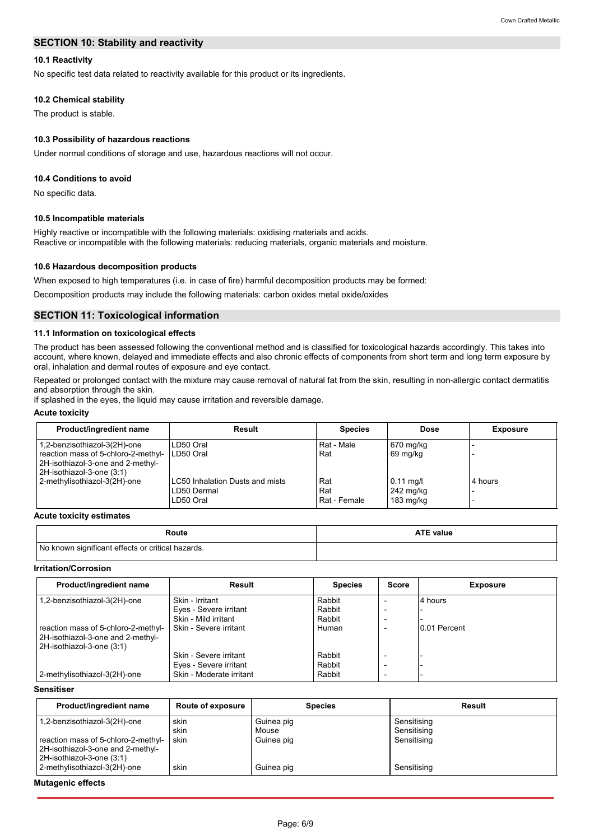# **SECTION 10: Stability and reactivity**

# **10.1 Reactivity**

No specific test data related to reactivity available for this product or its ingredients.

## **10.2 Chemical stability**

The product is stable.

## **10.3 Possibility of hazardous reactions**

Under normal conditions of storage and use, hazardous reactions will not occur.

#### **10.4 Conditions to avoid**

No specific data.

#### **10.5 Incompatible materials**

Highly reactive or incompatible with the following materials: oxidising materials and acids. Reactive or incompatible with the following materials: reducing materials, organic materials and moisture.

#### **10.6 Hazardous decomposition products**

When exposed to high temperatures (i.e. in case of fire) harmful decomposition products may be formed:

Decomposition products may include the following materials: carbon oxides metal oxide/oxides

#### **SECTION 11: Toxicological information**

## **11.1 Information on toxicological effects**

The product has been assessed following the conventional method and is classified for toxicological hazards accordingly. This takes into account, where known, delayed and immediate effects and also chronic effects of components from short term and long term exposure by oral, inhalation and dermal routes of exposure and eye contact.

Repeated or prolonged contact with the mixture may cause removal of natural fat from the skin, resulting in non-allergic contact dermatitis and absorption through the skin.

If splashed in the eyes, the liquid may cause irritation and reversible damage.

#### **Acute toxicity**

| Product/ingredient name                                                                               | Result                                 | <b>Species</b> | Dose        | <b>Exposure</b> |
|-------------------------------------------------------------------------------------------------------|----------------------------------------|----------------|-------------|-----------------|
| 1,2-benzisothiazol-3(2H)-one                                                                          | LD50 Oral                              | Rat - Male     | 670 mg/kg   |                 |
| reaction mass of 5-chloro-2-methyl-<br>2H-isothiazol-3-one and 2-methyl-<br>2H-isothiazol-3-one (3:1) | LD50 Oral                              | Rat            | 69 mg/kg    |                 |
| 2-methylisothiazol-3(2H)-one                                                                          | <b>LC50 Inhalation Dusts and mists</b> | Rat            | $0.11$ mg/l | 4 hours         |
|                                                                                                       | LD50 Dermal                            | Rat            | 242 mg/kg   |                 |
|                                                                                                       | LD50 Oral                              | Rat - Female   | 183 mg/kg   |                 |

#### **Acute toxicity estimates**

| Route                                             | <b>ATE value</b> |
|---------------------------------------------------|------------------|
| No known significant effects or critical hazards. |                  |

#### **Irritation/Corrosion**

| Product/ingredient name             | Result                   | <b>Species</b> | <b>Score</b>             | <b>Exposure</b> |
|-------------------------------------|--------------------------|----------------|--------------------------|-----------------|
| 1,2-benzisothiazol-3(2H)-one        | Skin - Irritant          | Rabbit         |                          | 4 hours         |
|                                     | Eyes - Severe irritant   | Rabbit         | $\overline{\phantom{a}}$ |                 |
|                                     | Skin - Mild irritant     | Rabbit         | ۰                        |                 |
| reaction mass of 5-chloro-2-methyl- | Skin - Severe irritant   | Human          |                          | 0.01 Percent    |
| 2H-isothiazol-3-one and 2-methyl-   |                          |                |                          |                 |
| 2H-isothiazol-3-one (3:1)           |                          |                |                          |                 |
|                                     | Skin - Severe irritant   | Rabbit         |                          |                 |
|                                     | Eyes - Severe irritant   | Rabbit         |                          |                 |
| 2-methylisothiazol-3(2H)-one        | Skin - Moderate irritant | Rabbit         | $\overline{\phantom{a}}$ |                 |

## **Sensitiser**

| Product/ingredient name                                                                               | Route of exposure | <b>Species</b>      | Result                     |
|-------------------------------------------------------------------------------------------------------|-------------------|---------------------|----------------------------|
| 1,2-benzisothiazol-3(2H)-one                                                                          | skin<br>skin      | Guinea pig<br>Mouse | Sensitising<br>Sensitising |
| reaction mass of 5-chloro-2-methyl-<br>2H-isothiazol-3-one and 2-methyl-<br>2H-isothiazol-3-one (3:1) | skin              | Guinea pig          | Sensitising                |
| 2-methylisothiazol-3(2H)-one                                                                          | skin              | Guinea pig          | Sensitising                |

#### **Mutagenic effects**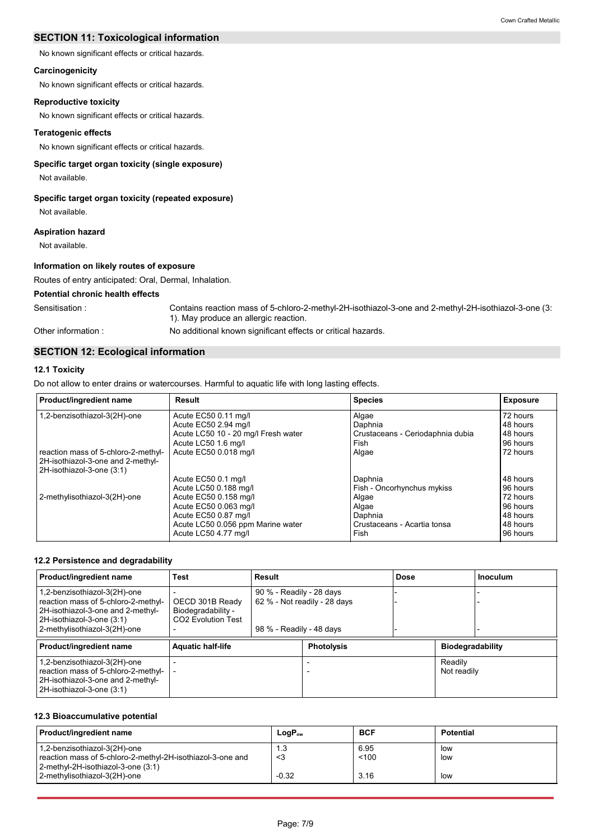# **SECTION 11: Toxicological information**

No known significant effects or critical hazards.

# **Carcinogenicity**

No known significant effects or critical hazards.

# **Reproductive toxicity**

No known significant effects or critical hazards.

#### **Teratogenic effects**

No known significant effects or critical hazards.

# **Specific target organ toxicity (single exposure)**

Not available.

## **Specific target organ toxicity (repeated exposure)**

Not available.

## **Aspiration hazard**

Not available.

## **Information on likely routes of exposure**

Routes of entry anticipated: Oral, Dermal, Inhalation.

# **Potential chronic health effects**

Sensitisation : Contains reaction mass of 5-chloro-2-methyl-2H-isothiazol-3-one and 2-methyl-2H-isothiazol-3-one (3: 1). May produce an allergic reaction.

Other information :

# **SECTION 12: Ecological information**

# **12.1 Toxicity**

Do not allow to enter drains or watercourses. Harmful to aquatic life with long lasting effects.

| Product/ingredient name                                                                               | Result                              | <b>Species</b>                   | Exposure |
|-------------------------------------------------------------------------------------------------------|-------------------------------------|----------------------------------|----------|
| 1,2-benzisothiazol-3(2H)-one                                                                          | Acute EC50 0.11 mg/l                | Algae                            | 72 hours |
|                                                                                                       | Acute EC50 2.94 mg/l                | Daphnia                          | 48 hours |
|                                                                                                       | Acute LC50 10 - 20 mg/l Fresh water | Crustaceans - Ceriodaphnia dubia | 48 hours |
|                                                                                                       | Acute LC50 1.6 mg/l                 | Fish                             | 96 hours |
| reaction mass of 5-chloro-2-methyl-<br>2H-isothiazol-3-one and 2-methyl-<br>2H-isothiazol-3-one (3:1) | Acute EC50 0.018 mg/l               | Algae                            | 72 hours |
|                                                                                                       | Acute EC50 0.1 mg/l                 | Daphnia                          | 48 hours |
|                                                                                                       | Acute LC50 0.188 mg/l               | Fish - Oncorhynchus mykiss       | 96 hours |
| 2-methylisothiazol-3(2H)-one                                                                          | Acute EC50 0.158 mg/l               | Algae                            | 72 hours |
|                                                                                                       | Acute EC50 0.063 mg/l               | Algae                            | 96 hours |
|                                                                                                       | Acute EC50 0.87 mg/l                | Daphnia                          | 48 hours |
|                                                                                                       | Acute LC50 0.056 ppm Marine water   | l Crustaceans - Acartia tonsa    | 48 hours |
|                                                                                                       | Acute LC50 4.77 mg/l                | Fish                             | 96 hours |

No additional known significant effects or critical hazards.

#### **12.2 Persistence and degradability**

| Product/ingredient name                                                                                                                                               | <b>Test</b><br>Result                                                   |                                                                                      |                   | Dose |                         | <b>Inoculum</b> |
|-----------------------------------------------------------------------------------------------------------------------------------------------------------------------|-------------------------------------------------------------------------|--------------------------------------------------------------------------------------|-------------------|------|-------------------------|-----------------|
| 1,2-benzisothiazol-3(2H)-one<br>reaction mass of 5-chloro-2-methyl-<br>2H-isothiazol-3-one and 2-methyl-<br>2H-isothiazol-3-one (3:1)<br>2-methylisothiazol-3(2H)-one | OECD 301B Ready<br>Biodegradability -<br>CO <sub>2</sub> Evolution Test | 90 % - Readily - 28 days<br>62 % - Not readily - 28 days<br>98 % - Readily - 48 days |                   |      |                         |                 |
| Product/ingredient name                                                                                                                                               | <b>Aquatic half-life</b>                                                |                                                                                      | <b>Photolysis</b> |      | <b>Biodegradability</b> |                 |
| 1,2-benzisothiazol-3(2H)-one<br>reaction mass of 5-chloro-2-methyl-<br>2H-isothiazol-3-one and 2-methyl-<br>2H-isothiazol-3-one (3:1)                                 |                                                                         |                                                                                      |                   |      | Readily<br>Not readily  |                 |

## **12.3 Bioaccumulative potential**

| Product/ingredient name                                                                                                          | $LogP_{ow}$ | <b>BCF</b>    | <b>Potential</b> |
|----------------------------------------------------------------------------------------------------------------------------------|-------------|---------------|------------------|
| 1,2-benzisothiazol-3(2H)-one<br>reaction mass of 5-chloro-2-methyl-2H-isothiazol-3-one and<br>2-methyl-2H-isothiazol-3-one (3:1) | 1.3<br><3   | 6.95<br>< 100 | low<br>low       |
| 2-methylisothiazol-3(2H)-one                                                                                                     | $-0.32$     | 3.16          | low              |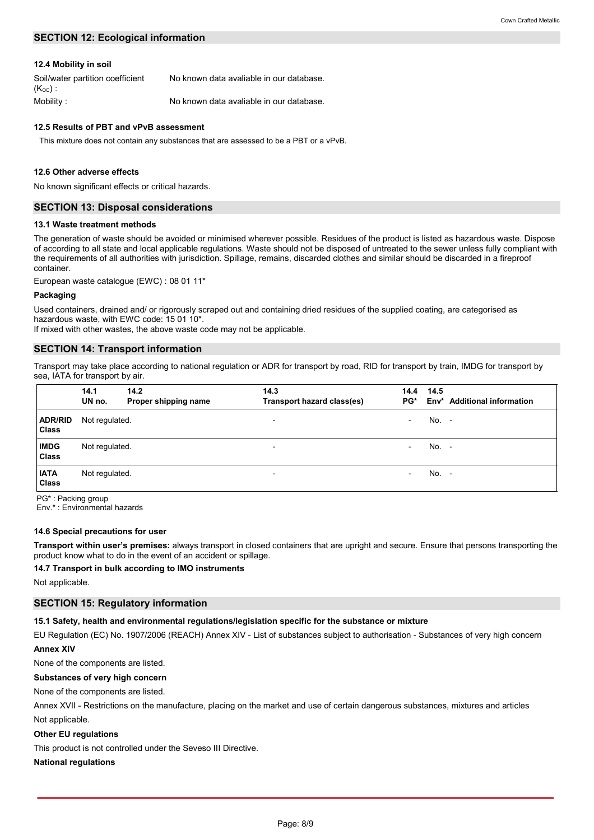# **SECTION 12: Ecological information**

#### **12.4 Mobility in soil**

| Soil/water partition coefficient<br>$(K_{OC})$ . | No known data avaliable in our database. |
|--------------------------------------------------|------------------------------------------|
| Mobility :                                       | No known data avaliable in our database. |

# **12.5 Results of PBT and vPvB assessment**

This mixture does not contain any substances that are assessed to be a PBT or a vPvB.

#### **12.6 Other adverse effects**

No known significant effects or critical hazards.

#### **SECTION 13: Disposal considerations**

#### **13.1 Waste treatment methods**

The generation of waste should be avoided or minimised wherever possible. Residues of the product is listed as hazardous waste. Dispose of according to all state and local applicable regulations. Waste should not be disposed of untreated to the sewer unless fully compliant with the requirements of all authorities with jurisdiction. Spillage, remains, discarded clothes and similar should be discarded in a fireproof container.

European waste catalogue (EWC) : 08 01 11\*

#### **Packaging**

Used containers, drained and/ or rigorously scraped out and containing dried residues of the supplied coating, are categorised as hazardous waste, with EWC code: 15 01 10\*.

If mixed with other wastes, the above waste code may not be applicable.

#### **SECTION 14: Transport information**

Transport may take place according to national regulation or ADR for transport by road, RID for transport by train, IMDG for transport by sea, IATA for transport by air.

|                         | 14.1<br>UN no. | 14.2<br>Proper shipping name | 14.3<br>Transport hazard class(es) | 14.4<br>PG*              | 14.5    | Env <sup>*</sup> Additional information |
|-------------------------|----------------|------------------------------|------------------------------------|--------------------------|---------|-----------------------------------------|
| <b>ADR/RID</b><br>Class | Not regulated. |                              | $\overline{\phantom{a}}$           | $\overline{\phantom{0}}$ | $No. -$ |                                         |
| <b>IMDG</b><br>Class    | Not regulated. |                              | $\overline{\phantom{a}}$           | $\overline{\phantom{0}}$ | $No. -$ |                                         |
| <b>IATA</b><br>Class    | Not regulated. |                              | $\overline{\phantom{a}}$           | $\overline{\phantom{0}}$ | $No. -$ |                                         |

PG\* : Packing group

Env.\* : Environmental hazards

#### **14.6 Special precautions for user**

**Transport within user's premises:** always transport in closed containers that are upright and secure. Ensure that persons transporting the product know what to do in the event of an accident or spillage.

#### **14.7 Transport in bulk according to IMO instruments**

Not applicable.

#### **SECTION 15: Regulatory information**

#### **15.1 Safety, health and environmental regulations/legislation specific for the substance or mixture**

EU Regulation (EC) No. 1907/2006 (REACH) Annex XIV - List of substances subject to authorisation - Substances of very high concern **Annex XIV**

None of the components are listed.

# **Substances of very high concern**

# None of the components are listed.

Not applicable. Annex XVII - Restrictions on the manufacture, placing on the market and use of certain dangerous substances, mixtures and articles

#### **Other EU regulations**

This product is not controlled under the Seveso III Directive.

# **National regulations**